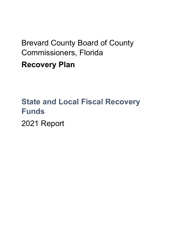# Brevard County Board of County Commissioners, Florida **Recovery Plan**

## **State and Local Fiscal Recovery Funds** 2021 Report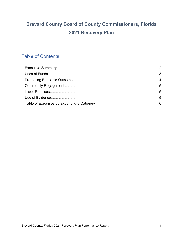### **Brevard County Board of County Commissioners, Florida** 2021 Recovery Plan

### **Table of Contents**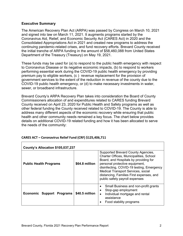#### **Executive Summary**

The American Recovery Plan Act (ARPA) was passed by Congress on March 10, 2021 and signed into law on March 11, 2021. It augments programs started by the Coronavirus Aid, Relief, and Economic Security Act (CARES Act) in 2020 and the Consolidated Appropriations Act in 2021 and created new programs to address the continuing pandemic-related crises, and fund recovery efforts. Brevard County received the initial tranche of ARPA funding in the amount of \$58,460,088 from United States Department of the Treasury (Treasury) on May 19, 2021.

These funds may be used for (a) to respond to the public health emergency with respect to Coronavirus Disease or its negative economic impacts, (b) to respond to workers performing essential work during the COVID-19 public health emergency by providing premium pay to eligible workers, (c ) revenue replacement for the provision of government services to the extent of the reduction in revenue of the county due to the COVID-19 public health emergency, or (d) to make necessary investments in water, sewer, or broadband infrastructure.

Brevard County's ARPA Recovery Plan takes into consideration the Board of County Commissioners allocation of and expenditures related to CARES funding Brevard County received on April 23, 2020 for Public Health and Safety programs as well as other federal funding the County received related to COVID-19. The County is able to address many different aspects of the economic recovery while ensuring that public health and other community needs remained a key focus. The chart below provides details on additional COVID-19 related funding and how it has been allocated to serve the needs of the community:

| County's Allocation \$105,037,237 |                |                                                                                                                                                                                                                                                                                                                           |  |
|-----------------------------------|----------------|---------------------------------------------------------------------------------------------------------------------------------------------------------------------------------------------------------------------------------------------------------------------------------------------------------------------------|--|
| <b>Public Health Programs</b>     | \$64.8 million | Supported Brevard County Agencies,<br>Charter Offices, Municipalities, School<br>Board, and Hospitals by providing for<br>personal protective equipment,<br>disinfecting, COVID-19 testing, Emergency<br>Medical Transport Services, social<br>distancing, Families First expenses, and<br>public safety payroll expenses |  |
| Economic Support Programs         | \$40.5 million | Small Business and non-profit grants<br>$\bullet$<br>Stop-gap employment<br>٠<br>Individual mortgage and rental<br>$\bullet$<br>assistance<br>Food stability programs<br>٠                                                                                                                                                |  |

#### **CARES ACT – Coronavirus Relief Fund (CRF) \$125,406,711**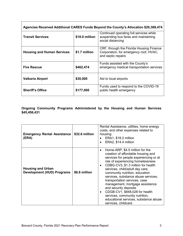| Agencies Received Additional CARES Funds Beyond the County's Allocation \$20,369,474 |                |                                                                                                          |  |
|--------------------------------------------------------------------------------------|----------------|----------------------------------------------------------------------------------------------------------|--|
| <b>Transit Services</b>                                                              | \$18.0 million | Continued operating full services while<br>suspending bus fares and maintaining<br>social distancing     |  |
| <b>Housing and Human Services</b>                                                    | \$1.7 million  | CRF, through the Florida Housing Finance<br>Corporation, for emergency roof, HVAC,<br>and septic repairs |  |
| <b>Fire Rescue</b>                                                                   | \$462,474      | Funds assisted with the County's<br>emergency medical transportation services                            |  |
| <b>Valkaria Airport</b>                                                              | \$30,000       | Aid to local airports                                                                                    |  |
| <b>Sheriff's Office</b>                                                              | \$177,000      | Funds used to respond to the COVID-19<br>public health emergency                                         |  |

Г

**Ongoing Community Programs Administered by the Housing and Human Services \$45,456,431**

| <b>Emergency Rental Assistance</b><br>(ERA)                   | \$32.6 million | Rental Assistance, utilities, home energy<br>costs, and other expenses related to<br>housing<br>ERA1, \$18.2 million<br>ERA2, \$14.4 million<br>$\bullet$                                                                                                                                                                                                                                                                                                                                                                                                                      |
|---------------------------------------------------------------|----------------|--------------------------------------------------------------------------------------------------------------------------------------------------------------------------------------------------------------------------------------------------------------------------------------------------------------------------------------------------------------------------------------------------------------------------------------------------------------------------------------------------------------------------------------------------------------------------------|
| <b>Housing and Urban</b><br><b>Development (HUD) Programs</b> | \$6.6 million  | Home-ARP, \$4.5 million for the<br>$\bullet$<br>creation of affordable housing and<br>services for people experiencing or at<br>risk of experiencing homelessness<br>CDBG-CV3, \$1.3 million for health<br>$\bullet$<br>services, child/adult day care,<br>community nutrition, education<br>services, substance abuse services,<br>transportation services, case<br>management, mortgage assistance<br>and security deposits<br>CDGB-CV1, \$848,028 for health<br>$\bullet$<br>services, community nutrition,<br>educational services, substance abuse<br>services, childcare |

٦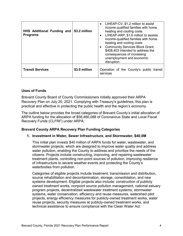| <b>HHS Additional Funding and</b><br><b>Programs</b> | \$3.2 million | • LIHEAP-CV, \$1.2 million to assist<br>income qualified families with home<br>heating and cooling costs<br>• LIHEAP-ARP, \$1.6 million to assists<br>income-qualified families with home<br>heating and cooling costs<br><b>Community Services Block Grant,</b><br>\$408,403 intended to address the<br>consequences of increasing<br>unemployment and economic<br>disruption |
|------------------------------------------------------|---------------|--------------------------------------------------------------------------------------------------------------------------------------------------------------------------------------------------------------------------------------------------------------------------------------------------------------------------------------------------------------------------------|
| <b>Transit Services</b>                              | \$3.0 million | Operation of the County's public transit<br>services                                                                                                                                                                                                                                                                                                                           |

#### **Uses of Funds**

Brevard County Board of County Commissioners initially approved their ARPA Recovery Plan on July 20, 2021. Complying with Treasury's guidelines, this plan is practical and effective in protecting the public health and the region's economy.

The outline below provides the broad categories of Brevard County's initial allocation of ARPA funding for the allocation of \$58,460,088 of Coronavirus State and Local Fiscal Recovery Funds (CLFRF) under ARPA:

#### **Brevard County ARPA Recovery Plan Funding Categories**

#### **1. Investment in Water, Sewer Infrastructure**, **and Stormwater, \$40.0M**

This initial plan invests \$40 million of ARPA funds for water, wastewater, and stormwater projects, which are designed to improve water quality and address water pollution, enabling the County to address and prioritize the needs of the citizens. Projects include constructing, improving, and repairing wastewater treatment plants, controlling non-point sources of pollution, improving resilience of infrastructure to severe weather events and protecting the County's waterbodies from pollution.

Categories of eligible projects include treatment, transmission and distribution, source rehabilitation and decontamination, storage, consolidation, and new systems development. Eligible projects also include: construction of publicly owned treatment works, nonpoint source pollution management, national estuary program projects, decentralized wastewater treatment systems, stormwater systems, water conservation, efficiency and reuse measures, watershed pilot projects, energy efficiency measures for publicly-owned treatment works, water reuse projects, security measures at publicly-owned treatment works, and technical assistance to ensure compliance with the Clean Water Act.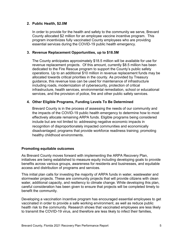#### **2. Public Health, \$2.0M**

In order to provide for the health and safety to the community we serve, Brevard County allocated \$2 million for an employee vaccine incentive program. This program incentivizes fully vaccinated County employees who are providing essential services during the COVID-19 public health emergency.

#### **3. Revenue Replacement Opportunities, up to \$18.5M**

The County anticipates approximately \$18.5 million will be available for use for revenue replacement projects. Of this amount, currently \$8.5 million has been dedicated to the Fire Rescue program to support the County's public safety operations. Up to an additional \$10 million in revenue replacement funds may be allocated towards critical priorities in the county. As provided by Treasury guidance, this revenue loss can be used for maintenance of infrastructure including roads, modernization of cybersecurity, protection of critical infrastructure, health services, environmental remediation, school or educational services, and the provision of police, fire and other public safety services.

#### **4. Other Eligible Programs, Funding Levels To Be Determined**

Brevard County is in the process of assessing the needs of our community and the impacts of the COVID-19 public health emergency to determine how to most effectively allocate remaining ARPA funds. Eligible programs being considered include but are not limited to: addressing negative economic impacts in recognition of disproportionately impacted communities and economically disadvantaged; programs that provide workforce readiness training; promoting healthy childhood environments.

#### **Promoting equitable outcomes**

As Brevard County moves forward with implementing the ARPA Recovery Plan, initiatives are being established to measure equity including developing goals to provide benefits across various groups, awareness for residents and businesses, and equitable access and distribution of programs and services.

This initial plan calls for investing the majority of ARPA funds in water, wastewater and stormwater projects. These are community projects that will provide citizens with clean water, additional capacity, and resiliency to climate change. While developing this plan, careful consideration has been given to ensure that projects will be completed timely to benefit the community.

Developing a vaccination incentive program has encouraged essential employees to get vaccinated in order to provide a safe working environment, as well as reduce public health risk to the community. Research shows that vaccinated employees are less likely to transmit the COVID-19 virus, and therefore are less likely to infect their families,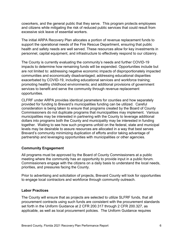coworkers, and the general public that they serve. This program protects employees and citizens while mitigating the risk of reduced public services that could result from excessive sick leave of essential workers.

The initial ARPA Recovery Plan allocates a portion of revenue replacement funds to support the operational needs of the Fire Rescue Department, ensuring that public health and safety needs are well served. These resources allow for key investments in personnel, capital equipment, and infrastructure to effectively respond to our citizenry.

The County is currently evaluating the community's needs and further COVID-19 impacts to determine how remaining funds will be expended. Opportunities include but are not limited to: addressing negative economic impacts of disproportionately impacted communities and economically disadvantaged; addressing educational disparities exacerbated by COVID-19, including educational services and workforce training; promoting healthy childhood environments; and additional provisions of government services to benefit and serve the community through revenue replacement opportunities.

CLFRF under ARPA provides identical parameters for counties and how separately provided for funding to Brevard's municipalities funding can be utilized. Careful consideration is being taken to ensure that programs created by the Board of County Commissioners do not duplicate programs that municipalities may implement. Various municipalities may be interested in partnering with the County to leverage additional dollars into programs both the County and municipality may be interested in funding together. Waiting to see how such programs unfold on the federal, state and municipal levels may be desirable to assure resources are allocated in a way that best serves Brevard's community minimizing duplication of efforts and/or taking advantage of partnership and leveraging opportunities with municipalities or other agencies.

#### **Community Engagement**

All programs must be approved by the Board of County Commissioners at a public meeting where the community has an opportunity to provide input in a public forum. Commissioners engage with the citizens on a daily basis to understand the local needs, priorities, and pressures facing the County.

Prior to advertising and solicitation of projects, Brevard County will look for opportunities to engage local contractors and workforce through community outreach.

#### **Labor Practices**

The County will ensure that as projects are selected to utilize SLFRF funds, that all procurement contracts using such funds are consistent with the procurement standards set forth in the Uniform Guidance at 2 CFR 200.317 through 2 CFR 200.327, as applicable, as well as local procurement policies. The Uniform Guidance requires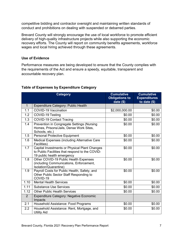competitive bidding and contractor oversight and maintaining written standards of conduct and prohibitions on dealing with suspended or debarred parties.

Brevard County will strongly encourage the use of local workforce to promote efficient delivery of high-quality infrastructure projects while also supporting the economic recovery efforts. The County will report on community benefits agreements, workforce wages and local hiring achieved through these agreements.

#### **Use of Evidence**

Performance measures are being developed to ensure that the County complies with the requirements of the Act and ensure a speedy, equitable, transparent and accountable recovery plan.

|                | <b>Category</b>                                                                                                                | <b>Cumulative</b><br><b>Obligations to</b><br>date $($)$ | <b>Cumulative</b><br><b>Expenditures</b><br>to date $($)$ |
|----------------|--------------------------------------------------------------------------------------------------------------------------------|----------------------------------------------------------|-----------------------------------------------------------|
| $\mathbf{1}$   | <b>Expenditure Category: Public Health</b>                                                                                     |                                                          |                                                           |
| 1.1            | <b>COVID-19 Vaccination</b>                                                                                                    | \$2,000,000.00                                           | \$0.00                                                    |
| 1.2            | COVID-19 Testing                                                                                                               | \$0.00                                                   | \$0.00                                                    |
| 1.3            | <b>COVID-19 Contact Tracing</b>                                                                                                | \$0.00                                                   | \$0.00                                                    |
| 1.4            | Prevention in Congregate Settings (Nursing<br>Homes, Prisons/Jails, Dense Work Sites,<br>Schools, etc.)                        | \$0.00                                                   | \$0.00                                                    |
| 1.5            | <b>Personal Protective Equipment</b>                                                                                           | \$0.00                                                   | \$0.00                                                    |
| 1.6            | Medical Expenses (including Alternative Care<br>Facilities)                                                                    | \$0.00                                                   | \$0.00                                                    |
| 1.7            | Capital Investments or Physical Plant Changes<br>to Public Facilities that respond to the COVID-<br>19 public health emergency | \$0.00                                                   | \$0.00                                                    |
| 1.8            | Other COVID-19 Public Health Expenses<br>(including Communications, Enforcement,<br>Isolation/Quarantine)                      | \$0.00                                                   | \$0.00                                                    |
| 1.9            | Payroll Costs for Public Health, Safety, and<br>Other Public Sector Staff Responding to<br>COVID-19                            | \$0.00                                                   | \$0.00                                                    |
| 1.10           | <b>Mental Health Services</b>                                                                                                  | \$0.00                                                   | \$0.00                                                    |
| 1.11           | <b>Substance Use Services</b>                                                                                                  | \$0.00                                                   | \$0.00                                                    |
| 1.12           | <b>Other Public Health Services</b>                                                                                            | \$0.00                                                   | \$0.00                                                    |
| 2 <sup>1</sup> | <b>Expenditure Category: Negative Economic</b><br>Impacts                                                                      |                                                          |                                                           |
| 2.1            | Household Assistance: Food Programs                                                                                            | \$0.00                                                   | \$0.00                                                    |
| 2.2            | Household Assistance: Rent, Mortgage, and<br><b>Utility Aid</b>                                                                | \$0.00                                                   | \$0.00                                                    |

#### **Table of Expenses by Expenditure Category**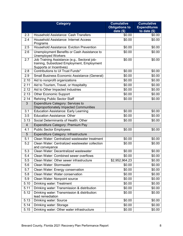| <b>Category</b> |                                                                                                                        | <b>Cumulative</b>                   | <b>Cumulative</b>                    |
|-----------------|------------------------------------------------------------------------------------------------------------------------|-------------------------------------|--------------------------------------|
|                 |                                                                                                                        | <b>Obligations to</b><br>date $(s)$ | <b>Expenditures</b><br>to date $($)$ |
| 2.3             | <b>Household Assistance: Cash Transfers</b>                                                                            | \$0.00                              | \$0.00                               |
| 2.4             | <b>Household Assistance: Internet Access</b><br>Programs                                                               | \$0.00                              | \$0.00                               |
| 2.5             | <b>Household Assistance: Eviction Prevention</b>                                                                       | \$0.00                              | \$0.00                               |
| 2.6             | Unemployment Benefits or Cash Assistance to<br><b>Unemployed Workers</b>                                               | \$0.00                              | \$0.00                               |
| 2.7             | Job Training Assistance (e.g., Sectoral job-<br>training, Subsidized Employment, Employment<br>Supports or Incentives) | \$0.00                              | \$0.00                               |
| 2.8             | Contributions to UI Trust Funds*                                                                                       | \$0.00                              | \$0.00                               |
| 2.9             | Small Business Economic Assistance (General)                                                                           | \$0.00                              | \$0.00                               |
| 2.10            | Aid to nonprofit organizations                                                                                         | \$0.00                              | \$0.00                               |
| 2.11            | Aid to Tourism, Travel, or Hospitality                                                                                 | \$0.00                              | \$0.00                               |
| 2.12            | Aid to Other Impacted Industries                                                                                       | \$0.00                              | \$0.00                               |
| 2.13            | <b>Other Economic Support</b>                                                                                          | \$0.00                              | \$0.00                               |
| 2.14            | <b>Rehiring Public Sector Staff</b>                                                                                    | \$0.00                              | \$0.00                               |
| 3               | <b>Expenditure Category: Services to</b><br><b>Disproportionately Impacted Communities</b>                             |                                     |                                      |
| 3.1             | <b>Education Assistance: Early Learning</b>                                                                            | \$0.00                              | \$0.00                               |
| 3.5             | <b>Education Assistance: Other</b>                                                                                     | \$0.00                              | \$0.00                               |
| 3.13            | Social Determinants of Health: Other                                                                                   | \$0.00                              | \$0.00                               |
| $\overline{4}$  | Expenditure Category: Premium Pay                                                                                      |                                     |                                      |
| 4.1             | <b>Public Sector Employees</b>                                                                                         | \$0.00                              | \$0.00                               |
| 5               | Expenditure Category: Infrastructure                                                                                   |                                     |                                      |
| 5.1             | Clean Water: Centralized wastewater treatment                                                                          | \$0.00                              | \$0.00                               |
| 5.2             | Clean Water: Centralized wastewater collection<br>and conveyance                                                       | \$0.00                              | \$0.00                               |
| 5.3             | Clean Water: Decentralized wastewater                                                                                  | \$0.00                              | \$0.00                               |
| 5.4             | Clean Water: Combined sewer overflows                                                                                  | \$0.00                              | \$0.00                               |
| 5.5             | Clean Water: Other sewer infrastructure                                                                                | \$2,952,964.23                      | \$0.00                               |
| 5.6             | Clean Water: Stormwater                                                                                                | \$0.00                              | \$0.00                               |
| 5.7             | Clean Water: Energy conservation                                                                                       | \$0.00                              | \$0.00                               |
| 5.8             | Clean Water: Water conservation                                                                                        | \$0.00                              | \$0.00                               |
| 5.9             | Clean Water: Nonpoint source                                                                                           | \$0.00                              | \$0.00                               |
| 5.10            | Drinking water: Treatment                                                                                              | \$0.00                              | \$0.00                               |
| 5.11            | Drinking water: Transmission & distribution                                                                            | \$0.00                              | \$0.00                               |
| 5.12            | Drinking water: Transmission & distribution:<br>lead remediation                                                       | \$0.00                              | \$0.00                               |
| 5.13            | <b>Drinking water: Source</b>                                                                                          | \$0.00                              | \$0.00                               |
| 5.14            | Drinking water: Storage                                                                                                | \$0.00                              | \$0.00                               |
| 5.15            | Drinking water: Other water infrastructure                                                                             | \$0.00                              | \$0.00                               |